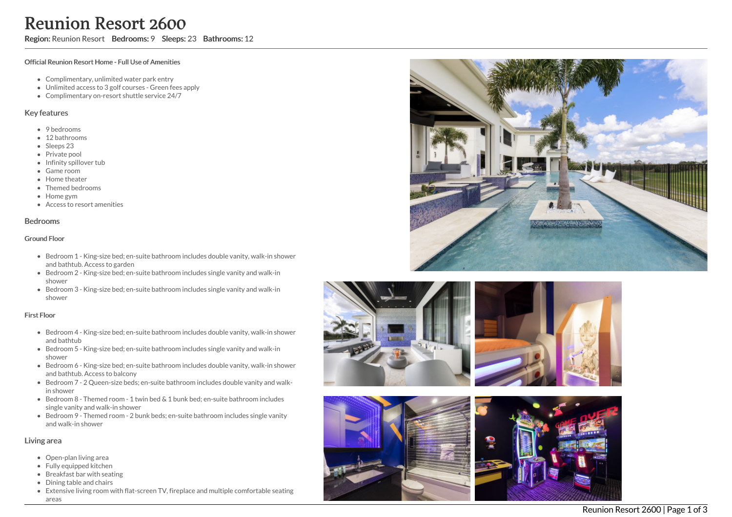# Reunion Resort 2600

Region: Reunion Resort Bedrooms: 9 Sleeps: 23 Bathrooms: 12

#### Official Reunion Resort Home - Full Use of Amenities

- Complimentary, unlimited water park entry
- Unlimited access to 3 golf courses Green fees apply
- Complimentary on-resort shuttle service 24/7

#### Key features

- 9 bedrooms
- 12 bathrooms
- Sleeps 23
- Private pool
- Infinity spillover tub
- G a m e r o o m
- Home theater
- Themed bedrooms
- H o m e g y m
- Access to resort amenities

### **Bedrooms**

#### Ground Floor

- Bedroom 1 King-size bed; en-suite bathroom includes double vanity, walk-in shower and bathtub. Access to garden
- Bedroom 2 King-size bed; en-suite bathroom includes single vanity and walk-in s h o w e r
- Bedroom 3 King-size bed; en-suite bathroom includes single vanity and walk-in s h o w e r

#### First Floor

- Bedroom 4 King-size bed; en-suite bathroom includes double vanity, walk-in shower and bathtub
- Bedroom 5 King-size bed; en-suite bathroom includes single vanity and walk-in s h o w e r
- Bedroom 6 King-size bed; en-suite bathroom includes double vanity, walk-in shower and bathtub. Access to balcony
- Bedroom 7 2 Queen-size beds; en-suite bathroom includes double vanity and walkin shower
- $\bullet$  Bedroom 8 Themed room 1 twin bed & 1 bunk bed; en-suite bathroom includes single vanity and walk-in shower
- Bedroom 9 Themed room 2 bunk beds; en-suite bathroom includes single vanity and walk-in shower

### Living area

- Open-plan living area
- Fully equipped kitchen
- Breakfast bar with seating
- Dining table and chairs
- Extensive living room with flat-screen TV, fireplace and multiple comfortable seating a r e a s









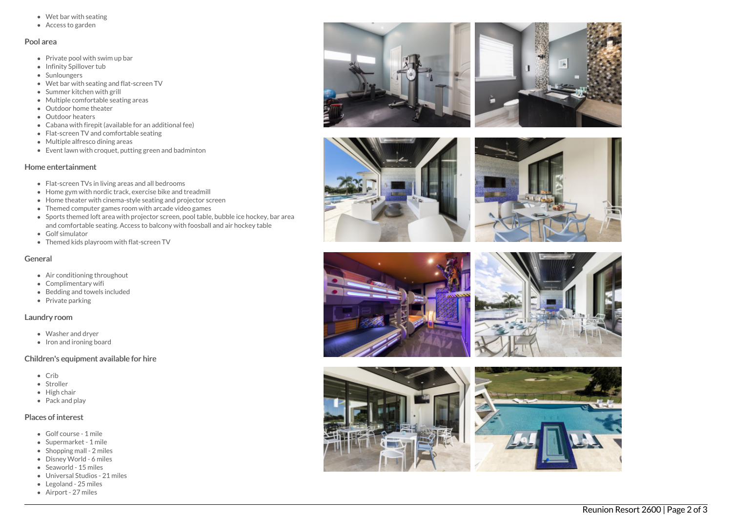- Wet bar with seating
- Access to garden

### Pool area

- Private pool with swim up bar
- Infinity Spillover tub
- Sunloungers
- Wet bar with seating and flat-screen TV
- Summer kitchen with grill
- Multiple comfortable seating areas
- Outdoor home theater
- Outdoor heaters
- Cabana with firepit (available for an additional fee)
- Flat-screen TV and comfortable seating
- Multiple alfresco dining areas
- Event lawn with croquet, putting green and badminton

## Home entertainment

- Flat-screen TVs in living areas and all bedrooms
- Home gym with nordic track, exercise bike and treadmill
- Home theater with cinema-style seating and projector screen
- Themed computer games room with arcade video games
- Sports themed loft area with projector screen, pool table, bubble ice hockey, bar area and comfortable seating. Access to balcony with foosball and air hockey table
- Golf simulator
- Themed kids playroom with flat-screen TV

## General

- Air conditioning throughout
- Complimentary wifi
- Bedding and towels in clu d e d
- Private parking

## Laundry room

- Washer and dryer
- Iron and ironing board

# Children's equipment available for hire

- C rib
- Stroller
- Hig h c h air
- Pack and play

# Places of interest

- Golf course 1 mile
- S u p e r m a r k e t 1 mile
- Shopping mall 2 miles
- Disney World 6 miles
- S e a w o rld 1 5 mile s
- Universal Studios 21 miles
- Legoland 25 miles
- Airport 27 miles